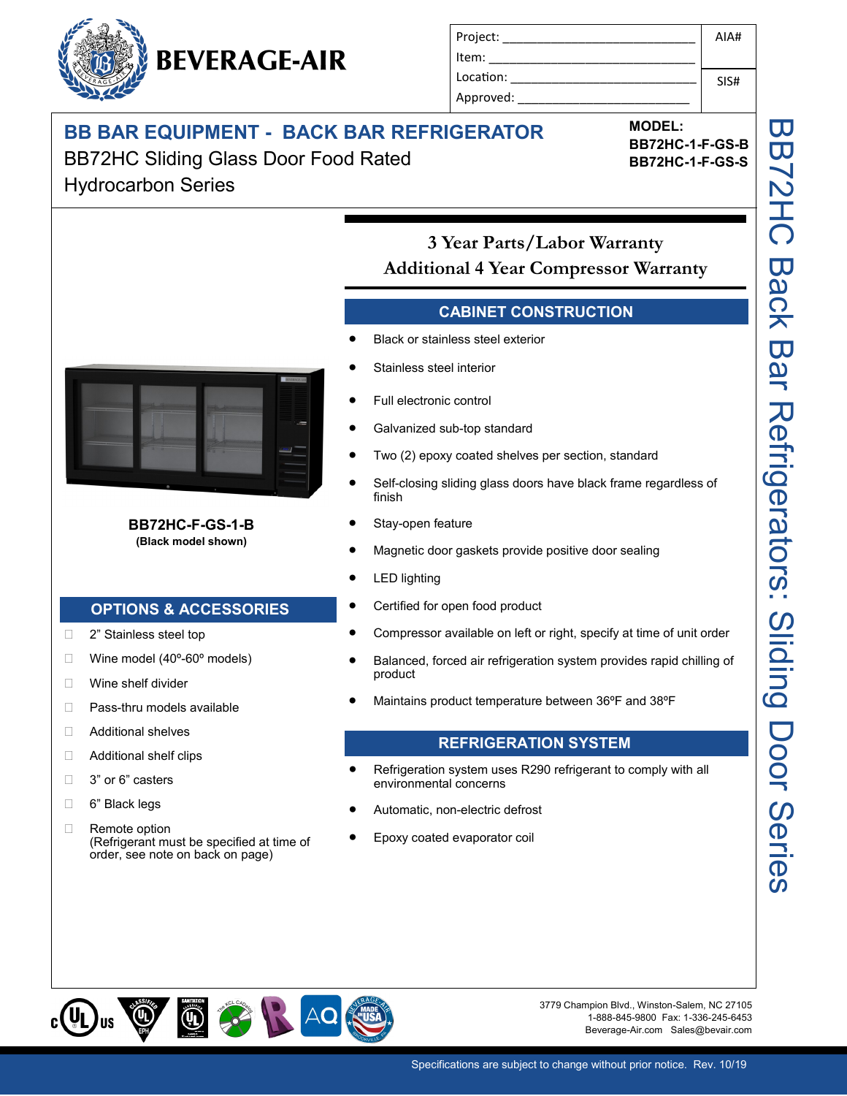## **BB BAR EQUIPMENT - BACK BAR REFRIGERATOR**

BB72HC Sliding Glass Door Food Rated Hydrocarbon Series

**MODEL: BB72HC-1-F-GS-B BB72HC-1-F-GS-S**

**3 Year Parts/Labor Warranty Additional 4 Year Compressor Warranty** 

Project: \_\_\_\_\_\_\_\_\_\_\_\_\_\_\_\_\_\_\_\_\_\_\_\_\_\_\_\_

Item: Location: Approved:

### **CABINET CONSTRUCTION**

- Black or stainless steel exterior
- Stainless steel interior
- Full electronic control
- Galvanized sub-top standard
- Two (2) epoxy coated shelves per section, standard
- Self-closing sliding glass doors have black frame regardless of finish
- Stay-open feature
- Magnetic door gaskets provide positive door sealing
- LED lighting
- Certified for open food product
- Compressor available on left or right, specify at time of unit order
- Balanced, forced air refrigeration system provides rapid chilling of product
- Maintains product temperature between 36ºF and 38ºF

#### **REFRIGERATION SYSTEM**

- Refrigeration system uses R290 refrigerant to comply with all environmental concerns
- Automatic, non-electric defrost
- Epoxy coated evaporator coil

OF RACK  $\circledcirc$ 

3779 Champion Blvd., Winston-Salem, NC 27105 1-888-845-9800 Fax: 1-336-245-6453 Beverage-Air.com Sales@bevair.com



#### **BB72HC-F-GS-1-B (Black model shown)**

#### **OPTIONS & ACCESSORIES**

- □ 2" Stainless steel top
- $\Box$  Wine model (40 $^{\circ}$ -60 $^{\circ}$  models)
- Wine shelf divider
- □ Pass-thru models available
- □ Additional shelves
- □ Additional shelf clips
- □ 3" or 6" casters
- 6" Black legs
- □ Remote option (Refrigerant must be specified at time of order, see note on back on page)

**BEVERAGE-AIR**